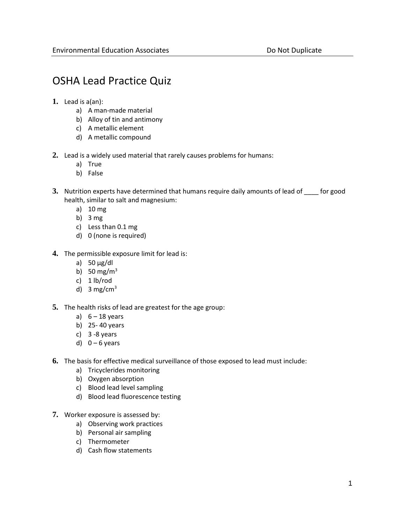## OSHA Lead Practice Quiz

- **1.** Lead is a(an):
	- a) A man-made material
	- b) Alloy of tin and antimony
	- c) A metallic element
	- d) A metallic compound
- **2.** Lead is a widely used material that rarely causes problems for humans:
	- a) True
	- b) False
- **3.** Nutrition experts have determined that humans require daily amounts of lead of \_\_\_\_ for good health, similar to salt and magnesium:
	- a) 10 mg
	- b) 3 mg
	- c) Less than 0.1 mg
	- d) 0 (none is required)
- **4.** The permissible exposure limit for lead is:
	- a) 50 µg/dl
	- b) 50 mg/ $m<sup>3</sup>$
	- c) 1 lb/rod
	- d) 3 mg/cm<sup>3</sup>
- **5.** The health risks of lead are greatest for the age group:
	- a)  $6 18$  years
	- b) 25- 40 years
	- c)  $3 8$  years
	- d)  $0 6$  years
- **6.** The basis for effective medical surveillance of those exposed to lead must include:
	- a) Tricyclerides monitoring
	- b) Oxygen absorption
	- c) Blood lead level sampling
	- d) Blood lead fluorescence testing
- **7.** Worker exposure is assessed by:
	- a) Observing work practices
	- b) Personal air sampling
	- c) Thermometer
	- d) Cash flow statements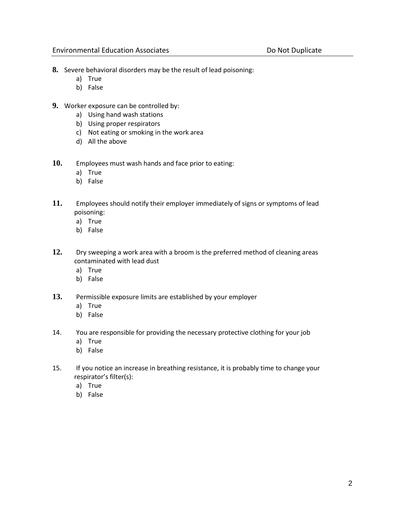- **8.** Severe behavioral disorders may be the result of lead poisoning:
	- a) True
	- b) False
- **9.** Worker exposure can be controlled by:
	- a) Using hand wash stations
	- b) Using proper respirators
	- c) Not eating or smoking in the work area
	- d) All the above
- **10.** Employees must wash hands and face prior to eating:
	- a) True
	- b) False
- **11.** Employees should notify their employer immediately of signs or symptoms of lead poisoning:
	- a) True
	- b) False
- **12.** Dry sweeping a work area with a broom is the preferred method of cleaning areas contaminated with lead dust
	- a) True
	- b) False
- **13.** Permissible exposure limits are established by your employer
	- a) True
	- b) False
- 14. You are responsible for providing the necessary protective clothing for your job
	- a) True
	- b) False
- 15. If you notice an increase in breathing resistance, it is probably time to change your respirator's filter(s):
	- a) True
	- b) False